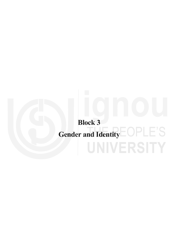# **Block 3 Gender and Identity**UNIVERSITY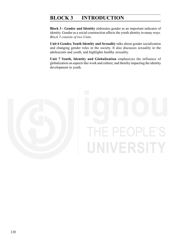### **BLOCK 3 INTRODUCTION**

**Block 3 - Gender and Identity** elaborates gender as an important indicator of identity. Gender as a social construction affects the youth identity in many ways. *Block 3 consists of two Units*.

**Unit 6 Gender, Youth Identity and Sexuality** talks about gender socialization and changing gender roles in the society. It also discusses sexuality in the adolescents and youth, and highlights healthy sexuality.

**Unit 7 Youth, Identity and Globalization** emphasizes the influence of globalization on aspects like work and culture; and thereby impacting the identity development in youth.

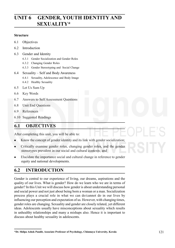# **UNIT 6 GENDER, YOUTH IDENTITY AND SEXUALITY\***

### **Structure**

- 6.1 Objectives
- 6.2 Introduction
- 6.3 Gender and Identity
	- 6.3.1 Gender Socialization and Gender Roles
	- 6.3.2 Changing Gender Roles
	- 6.3.3 Gender Stereotyping and Social Change
- 6.4 Sexuality Self and Body Awareness
	- 6.4.1 Sexuality, Adolescence and Body Image
	- 6.4.2 Healthy Sexuality
- 6.5 Let Us Sum Up
- 6.6 Key Words
- 6.7 Answers to Self Assessment Questions
- 6.8 Unit End Questions
- 6.9 References
- 6.10 Suggested Readings

### **6.1 OBJECTIVES**

After completing this unit, you will be able to:

- Know the concept of gender identity and its link with gender socialization;  $\bullet$
- Critically examine gender roles, changing gender roles, and the gender stereotypes prevalent in our social and cultural contexts; and
- Elucidate the importance social and cultural change in reference to gender equity and national developments.

### **6.2 INTRODUCTION**

Gender is central to our experience of living, our dreams, aspirations and the quality of our lives. What is gender? How do we learn who we are in terms of gender? In this Unit we will discuss how gender is about understanding personal and social power and not just about being born a woman or a man. Socialization process plays a crucial role in what we can do/cannot do in our lives by influencing our perception and expectation of us. However, with changing times, gender roles are changing. Sexuality and gender are closely related, yet different ideas. Adolescents usually have misconceptions about sexuality which results in unhealthy relationships and many a mishaps also. Hence it is important to discuss about healthy sexuality in adolescents.

**<sup>\*</sup>Dr. Shilpa Ashok Pandit, Associate Professor of Psychology, Chinmaya University, Kerala**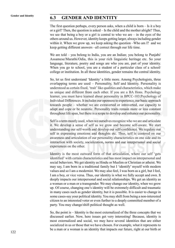### **Gender and Identity 6.3 GENDER AND IDENTITY**

The first question perhaps, every person asks, when a child is born – Is it a boy or a girl? Then, the question is asked – Is the child and the mother alright? Thus, we see that being a boy or a girl is central to who we are – in the eyes of the others around us. However, identity keeps getting larger, always including gender within it. When we grow up, we keep asking the question –Who am I? and we keep getting different answers –all correct through our life time.

We are told – you belong to India, you are an Indian; you belong to Punjabi/ Assamese/Marathi/Odia, this is your rich linguistic heritage etc. So your language, literature, poetry and songs are who you are, part of your identity. When you go to school, you are a student of a particular class of a school/ college or institution. In all these identities, gender remains the central identity.

So, let us first understand 'Identity' a little more. Among Psychologists, three overlapping terms are used – Personality, Self and Identity. Personality is understood as certain fixed, 'trait' like qualities and characteristics, which make us unique and different from each other. If you are a BA Hons. Psychology learner, you must have learned about personality in BPCC-103:Psychology of Individual Differences. It includes our openness to experience, our basic approach towards people – whether we are extraverted or introverted, our capacity to adapt and cope or be neurotic. Personality traits remain more or less constant throughout life span, but there is a scope to develop and enhance our personality.

Self is a term mostly used, when we ourselves recognize who we are and articulate it. We develop a sense of self as we grow and become self-aware. We start understanding our self-worth and develop our self-confidence. We regulate our self in expressing emotions and thoughts etc. Thus, self is centered on our awareness and articulation of our personality characteristics on one side and its interaction with society, socialization, norms and our interpersonal and social experiences on the other.

Identity is the most outward form of that articulation, where our self 'gets identified' with certain characteristics and has most impact on interpersonal and social behaviors. We get identity as Hindu or Muslim or Christian or atheist. We may say, I am born in a traditional family but I 'identify' myself with modern values and so I am a modernist. We may also feel, I was born as a girl, but I feel, I am a boy, or vice versa. Thus, our identity is what we fully accept and own. It deeply impacts our interpersonal and social relationships. We get an identity as a woman or a man or a transgender. We may change our identity, when we grow up. Of course, changing one's identity will be extremely difficult and traumatic in many cases such as gender identity, but it is possible. It is easier to change in some cases-say your political identity. You may shift from being a non-interested citizen to an interested voter or even further to a deeply committed member of a party. You may change/shift political thought as well.

So, the point is – Identity is the most externalized of the three concepts that we discussed earlier. Now, here issues get very interesting! Because, identity is most externalized and social, we may have several identities that are either socialized in us or those that we have chosen. For example, what it represents to be a man or a woman is an identity that impacts our future, right at our birth or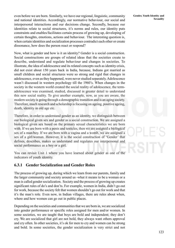even before we are born. Similarly, we have our regional, linguistic, community and national identities. Accordingly, our normative behaviour, our social and interpersonal interactions and our decisions change. Secondly, because our identities relate to social structures, it's norms and rules, our identity puts constraints and enables/facilitates certain process of growing up, developing of certain thoughts, emotions, actions and behaviour. The interesting question is, when certain identities and socialization processes contradict each other or create dissonance, how does the person react or respond?

Now, what is gender and how is it an identity? Gender is a social construction. Social constructions are groups of related ideas that the societies create to describe, understand and regulate behaviour and changes in societies. To illustrate, the idea of adolescence and its related concepts such as identity crisis, did not exist about 150 years back in India, because, Indians got married as small children and social structures were so strong and rigid that changes in adolescence, even as they happened, were never studied separately. Adolescence wasn't discussed in western psychology till the 1960's. When changes in the society in the western world created the social reality of adolescence, the termadolescence was examined, studied, discussed in greater detail to understand this new social reality. To give another example, now, as you are aware, the modern society is going through a demographic transition and is an aging society. Therefore, much research and scholarship is focusing on ageing, positive ageing, death, identity in old age etc.

Therefore, in order to understand gender as an identity, we distinguish between our biological given sex and gender as a social construction. We are assigned a biological given sex based on the primary sexual characteristics we are born with. If we are born with a penis and testicles, then we are assigned a biological sex of a man/boy. If we are born with a vagina and a womb, we are assigned a sex of a girl/woman. However, it is the social construction of 'Gender' that defines, describes, makes us understand and regulates our interpersonal and social performance as a boy or a girl.

You can revisit Unit 1 where you have learned about gender as one of the indicators of youth identity.

### **6.3.1 Gender Socialization and Gender Roles**

The process of growing up, during which we learn from our parents, family and the larger community and society around us -what it means to be a woman or a man is called gender socialization. Society and the process of growing up creates significant rules of do's and don'ts. For example, women in India, didn't go out for work, because the society felt that women shouldn't go out for work and that it's the man's role. Even now, in Indian villages, there are rules about when, where and how women can go out in public places.

Depending on the societies and communities that we are born in, we are socialized into gender performance or specific roles assigned for men and/or women. In some societies, we are taught that boys are bold and independent; they don't cry. We are socialized that girl are not bold, they always want others approval and cry often. In other societies, it's ok for men to cry and women can be strong and bold. In some societies, the gender socialization is very strict and not

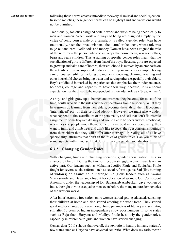**Gender and Identity** following these norms creates immediate mockery, dismissal and social rejection. In some societies, these gender norms can be slightly fluid and variations would not be punished.

> Traditionally, societies assigned certain work and ways of being specifically to men and women. When work and ways of being are assigned simply by the virtue of being born a male or a female, it is called a gender role. Men have traditionally, been the 'bread winners' the 'karta' or the doers, whose role was to go out and earn livelihoods and money. Women have been assigned the role of the nurturer – the person who cooks, keeps the house clean, washes clothes, bears and rears children. This assigning of specific gender roles meant that the socialization of girls is different from that of the boys. Because, girls are expected to grow up and take care of homes, their childhood is marked by an emphasis on the activities they are supposed to do as grown up women- for example, taking care of younger siblings, helping the mother in cooking, cleaning, washing and other household chores, bringing water and serving others, especially their elders. Boy's childhood is marked by experiences that emphasize their independence, boldness, courage and capacity to have their way, because, it is a social expectation that they need to be independent in their adult role as a 'bread winner'.

> As boys and girls grow up to be men and women, they become, for most of the time, adults who fit in the rules and the expectations from the society. What they have grown up learning from their elders, becomes the truth for them. It becomes 'internalized' part of their self and identity. However, we must also wonderwhat happens to those attributes of the personality and self that don't fit this role assignment? Some boys are dreamy and would like to be poets and feel emotional; when they cry, people mock them. Some girls are bold in their personality, they want to jump and climb trees and don't like to cook; they get constant shoutings from their elders that they will suffer after marriage! In reality, all of us have 'personality' attributes that don't fit the rules of gender roles. Can you think of some aspects within yourself that don't fit in your gender socialization?

### **6.3.2 Changing Gender Roles**

With changing times and changing societies, gender socialization has also changed bit by bit. During the time of freedom struggle, women have taken an active part. Our leaders such as Mahatma Jyotiba Phule and Savitribai Phule fought for several social reforms such as social reform against Sati (live burning of widows) or, against child marriage. Religious leaders such as Swami Vivekananda and Dayananda fought for education of women. Our Constituent Assembly, under the leadership of Dr. Babasaheb Ambedkar, gave women of India, the right to vote as equal to men, even before the many mature democracies of the western world.

After India became a free nation, more women started getting educated, educating their children at home and also started entering the work force. They started speaking for change. So, even though basic parameters of literacy and sex ratio, still after 70 years of Indian independence show poor numbers in some states such as Rajasthan, Haryana and Madhya Pradesh, slowly the gender roles, especially in reference to girls and women have started changing.

Census data (2011) shows that overall, the sex ratio is healthy in many states. A few states such as Haryana have abysmal sex ratio. What does sex ratio mean?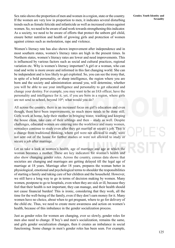Sex ratio shows the proportion of men and women in a region, state or the country. If the women are very low in proportion to men, it indicates several disturbing trends such as female feticide and infanticide as well as increased crimes against women. So, we need to be aware of and work towards strengthening this indicator. As a society, we need to be aware of efforts that protect the unborn girl child, ensure better nutrition and health of growing girls and protection of women against crimes such as molestation, rape and violence.

Women's literacy rate has also shown improvement after independence and in most southern states, women's literacy rates are high in the present times. In Northern states, women's literacy rates are lower and need improvements. This is influenced by various factors such as social and cultural practices, regional variation etc. Why is women's literacy important? A girl or a woman, who can read and write is more aware and informed in this fast changing world. She can be independent and is less likely to get exploited. So, you can see the irony that, in spite of a bold personality, or sharp intelligence, the region where you are born and the society and administration around you, will determine, whether you will be able to use your intelligence and personality to get educated and change your destiny. For example, you may want to be an IAS officer, have the personality and intelligence for it, yet, if you are born in a region, where girls are not send to school, beyond  $10<sup>th</sup>$ ; what would you do?

All across the country, there is an increased focus on girl's education and even though, there have been improvements, so much more needs to be done still. Girls work at home, help their mother in bringing water, washing and keeping the house clean, take care of their siblings and then – study as well. Despite challenges, educated women are entering into the workforce and many women, nowadays continue to study even after they get married or secure a job. This is a change from traditional thinking, where girl were not allowed to study, were not sent out of the house for further studies or were not allowed to study or secure a job after marriage.

Let us take a look at women's health, age of marriage and age at which the woman becomes a mother. These are key indicators for woman's health and also show changing gender roles. Across the country, census data shows that societies are changing and marriages are getting delayed till the legal age of marriage at 18 years. Marriage after 18 years, prepares the woman better in physiological, emotional and psychological terms to shoulder the responsibilities of starting a family and taking care of her children and the household. However, we still have a long way to go in terms of decision making by women. Many women, postpone to go to hospitals, even when they are sick or ill, because they feel that their health is not important, they can manage, and their health should not cause financial burden! This is ironic, considering that they work, all the time for the well-being of the family, even if they don't earn money for it. Many women have no choice, about when to get pregnant, where to go for delivery of the child etc. Thus, we need to create more awareness and action on women's health, because of this imbalance in the gender socialization process.

Just as gender roles for women are changing, ever so slowly, gender roles for men also need to change. If boy's and men's socialization, remains the same, and girls gender socialization changes, then it creates an imbalance in social functioning. Some change in men's gender roles has been seen. For example,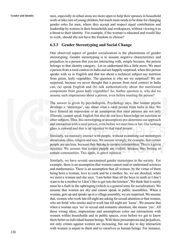**Gender and Identity** men, especially in urban areas are more open to help their spouses in household work or take care of young children, but much more needs to be done for changing gender roles for men, where they accept and respect equal contribution and leadership by women in their households and workspaces, without viewing it as a threat to their identity. For example, if the woman is educated and would like to work, should she not have the freedom to choose?

### **6.3.3 Gender Stereotyping and Social Change**

One observed aspect of gender socialization is the phenomena of gender stereotyping. Gender stereotyping is to assume negative characteristics and prejudices in a person that you are interacting with, simply because, the person belongs to that identity category. Let us understand this a little more. We meet a person from a rural context in India and are happily surprised, when this person speaks with us in English and that too about a technical subject-say nutrition from green, leafy vegetables. The question is why are we surprised? We are surprised, because we never thought that a person from rural context in India can, (a) speak English and (b) talk authoritatively about the nutritional components from green leafy vegetables? So, further question is, why did we assume such impressions about a person, even before meeting the person?

The answer is given by psychologists. Psychology says, that human psyche develops a 'stereotype', say about what a rural person from India is like. We have formed an impression or an assumption that rural persons are not only illiterate, cannot speak English but also do not have knowledge on nutrition or other subjects. Thus, this stereotyping or assumptions pre-determine our approach and interaction with a rural person, even before we meet him or her. Our looking glass is colored and that is an injustice to that rural person.

Similarly, we routinely interact with people, without examining our stereotypes about caste, class, religion and race. We assume wrongly, for example, that certain people are unclean, because they belong to certain communities. This is a grave injustice. We assume that certain people are violent, because they belong to certain communities. This again, is grave injustice.

Similarly, we have several unexamined gender stereotypes in the society. For example, there is an assumption that women cannot read or understand sciences and mathematics. There is an assumption that all women, by the virtue of them being born a woman, love to cook and be a mother. So, we are shocked, when we meet a woman and she says, 'I am better than all the boys in math or I don't want to be a mother/or I don't like to get into the kitchen'. We think that it surely must be a fault in the upbringing (which is a general term for socialization). We assume that women are shy and cannot speak in public assemblies. When a woman, gets up and speaks up in a village assembly, we are surprised. We assume that, women who work late till night are asking for sexual attention or that women, who are bold/ who smoke and/or work late till night are 'loose'. We assume that when a woman says 'no' to sexual and romantic attention, she means 'yes'. All these wrong ideas, impressions and assumptions color our interactions with women within households and in public spaces, even before we get to know them better as individual human beings. With these presumptions and prejudices, not only crimes against women are increasing, but our day to day interaction with women is unjust to them and to ourselves as human beings. For instance,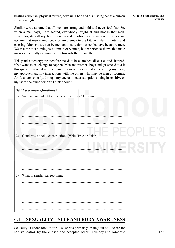beating a woman, physical torture, devaluing her, and dismissing her as a human is bad enough .

**Gender, Youth Identity and Sexuality**

Similarly, we assume that all men are strong and bold and never feel fear. So, when a man says, I am scared, everybody laughs at and mocks that man. Psychologists will say, fear is a universal emotion, 'even' men will feel so. We assume that men cannot cook or are clumsy in the kitchen. But, in hotels and catering, kitchens are run by men and many famous cooks have been/are men. We assume that nursing is a domain of women, but experience shows that male nurses are equally or more caring towards the ill and the infirm.

This gender stereotyping therefore, needs to be examined, discussed and changed, if we want social change to happen. Men and women, boys and girls need to ask this question - What are the assumptions and ideas that are coloring my view, my approach and my interactions with the others who may be men or women. Am I, unconsciously, through my unexamined assumptions being insensitive or unjust to the other person? Think about it.

### **Self Assessment Questions I**

1) We have one identity or several identities? Explain.



### **6.4 SEXUALITY – SELF AND BODY AWARENESS**

Sexuality is understood in various aspects primarily arising out of a desire for self-validation by the chosen and accepted other, intimacy and romantic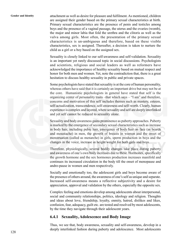Gender and Identity attachment as well as desire for pleasure and fulfilment. As mentioned, children are assigned their gender based on the primary sexual characteristics at birth. Primary sexual characteristics are the presence of penis and testicles among boys and the presence of a vaginal passage, the uterus and the ovaries (womb), the major and minor labia that fold the urethra and the clitoris as well as the vulva among girls. Most often, the presentation of the primary sexual characteristics is un-ambiguous and therefore, based on these visible characteristics, sex is assigned. Thereafter, a decision is taken to nurture the child as a girl or a boy based on the assigned sex.

> Sexuality is closely linked to our self-awareness and self-validation. Sexuality is an important yet rarely discussed topic in social discussions. Psychologists and scientists, religious and social leaders as well as reformers have acknowledged the importance of healthy sexuality based on mutual respect and honor for both men and women. Yet, note the contradiction that, there is a great hesitation to discuss healthy sexuality in public and private spaces.

> Some psychologists have stated that sexuality is at the core of human personality, whereas others have said that it is certainly an important drive but may not be at the core. Humanistic psychologists in general have stated that self is the organizing center of personality traits –that which says – "I am" and therefore, concerns and motivation of this self includes themes such as mastery, esteem, self-actualization, transcendence, self-awareness and self-worth. Clearly, human experience is complex and layered, where sexuality and self are deeply interlinked and yet self cannot be reduced to sexuality alone.

> Sexuality and body awareness gains prominence as puberty approaches. Puberty is marked by the emergence of secondary sexual characteristics such as increase in body hair, including pubic hair, emergence of body hair on face (as beards and moustache) in men, the growth of breasts in women and the onset of menstruation (called as menarche) in girls, sperm production in boys and the changes in the voice, increase in height/weight for both girls and boys.

> Therefore, physiologically, several bodily changes take place during puberty and awareness of one's own body increases due to these. Hormones, specifically the growth hormone and the sex hormones production increases manifold and continues its increased circulation in the body till the onset of menopause and andro-pause in women and men respectively.

> Socially and emotionally too, the adolescent girls and boys become aware of the presence of others around, the awareness of one's self as unique and separate. Increased self-awareness means a reflective subjectivity and a desire for appreciation, approval and validation by the others, especially the opposite sex.

> Complex feeling and emotions develop among adolescents about interpersonal, social and community relationships, politics, ideology and religion. Thoughts and ideas about love, friendship, loyalty, enmity, hatred, dislikes and likes, confusion, fear, adequacy, guilt etc. are tested and resolved by most adolescents, by the time they navigate through their adolescent years.

### **6.4.1 Sexuality, Adolescence and Body Image**

Thus, we see that, body awareness, sexuality and self-awareness, develop in a deeply interlinked fashion during puberty and adolescence. Most adolescents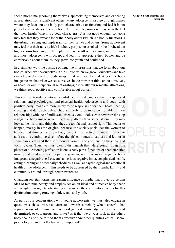spend more time grooming themselves, appreciating themselves and expecting appreciation from significant others. Many adolescents also go through phases where they focus on one body part, characteristic or function and feel it is not perfect and needs some correction. For example, someone may secretly feel that their height (which is a body characteristic) is not good enough; someone may feel that they sweat a lot or their body odour (which is a bodily function) is disturbingly strong and unpleasant for themselves and others. Some adolescent may feel that their nose (which is a body part) is too crooked or the forehead too high or arms too dangly. These phases may go off on their own, in most cases and most adolescents will accept and learn to appreciate their bodies and be comfortable about them, as they grow into youth and adulthood.

In a simplest way, the positive or negative impressions that we form about our bodies, when we see ourselves in the mirror, when we groom ourselves and take care of ourselves is the 'body image' that we have formed. A positive body image means that when we see ourselves in the mirror or think about ourselves, or health or our interpersonal relationships, especially our romantic attractions, we think good, positive and comfortable about our self.

This comfort translates into self-confidence and esteem, healthier interpersonal relations and psychological and physical health. Adolescents and youth with positive body image are more likely to be responsible for their health, eating, sleeping and daily schedules. They are likely to be more comfortable in their relationships with their families and friends. Some adolescents however, develop a negative body image which negatively affects their self- esteem. They may look at the mirror and think that they are too fat and just not right. This seems to happen, mostly in case of girls, because, the society socializes the women to believe that thinness and low body weight is attractive for men. In order to address this continuing discomfort, the girl continues to eat less and less or in some cases, eats and then self induces vomiting to continue on these eat and vomit cycles. Thus, we must clearly distinguish that while going through the phases of questioning perfection in one's body parts, functions or characteristics usually fade and is a healthy part of growing up, a consistent negative body image and a negative self-esteem has serious negative impact on physical health, eating, sleeping and other daily schedules, as well as psychological and emotional health of the adolescent. This needs to be addressed by the friends, family and community around, through better awareness.

Changing societal norms, increasing influence of media that projects a certain idea of feminine beauty and emphasizes on an ideal and attractive body shape and weight, through its advertising are some of the contributory factors for this dysfunction among growing adolescents and youth.

As part of our conversations with young adolescents, we must also engage in questions such as- are we not attracted towards somebody who is cheerful, has a great sense of humor or has good general knowledge or is strong and determined, or courageous and brave? Is it that we always look at the others body shape and size to find them attractive? Are other qualities-ethical, sociopsychological and intellectual – not important?

**Gender, Youth Identity and Sexuality**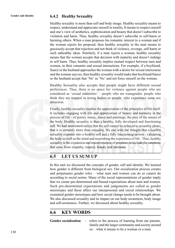### **Gender and Identity 6.4.2 Healthy Sexuality**

Healthy sexuality is more than self and body image. Healthy sexuality means to respect, understand and appreciate oneself in totality. It means to respect oneself and one's view of aesthetics, sophistication and beauty that doesn't subscribe to violation and harm. Thus, healthy sexuality doesn't subscribe to self-harm or harming others. When a man proposes his romantic interest to a woman and if the woman rejects his proposal, then healthy sexuality in the man means to graciously accept that rejection and not think of violence, revenge, self-harm or such unhealthy ideas. Similarly, if a man rejects a woman, healthy sexuality means that the woman accepts that decision with maturity and doesn't indulge in self harm. Thus, healthy sexuality implies mutual respect between men and women, in their romantic and sexual interactions. For example, if a boyfriend, fiancé or the husband approaches the woman with a desire for sexual intercourse and the woman says no, then healthy sexuality would make that boyfriend/fiancé or the husband accept that 'No' as 'No' and not force oneself on the woman.

Healthy Sexuality also accepts that people might have different sexual preferences. Thus, there is no space for violence against people who are considered as 'sexual minorities' – people who are transgender, people who think they are trapped in wrong bodies or people who experience same sex attraction.

Finally, healthy sexuality implies the appreciation of the principles of life itself. It includes engaging with life and appreciation of beauty and harmony in the process of life – of poetry, music, dance and paintings, the play of the senses of the body. Healthy sexuality is thus a healthy, fully developed and functioning self. We had mentioned earlier that the self cannot be reduced to sexuality alone; that it is certainly more than sexuality. We end with the thought that a healthy sexuality expands into a healthy self and a fully functioning person - validating the body as well as the mind and nourishing the experience of life. Thus, healthy sexuality is the expansion and transformation of emotions to include the emotions that arise from empathy, respect, beauty and harmony.

### **6.5 LET US SUM UP**

In this unit we discussed the concepts of gender, self and identity. We learned how gender is different from biological sex. Our socialization process creates and perpetuates gender roles – what men and women can do or cannot do according to social norms. Many of the social representations of gender imply that we create pre-determined and biased expectations about men and women. Such pre-determined expectations and judgements are called as gender stereotypes and these affect our interpersonal and social relationships. We examined gender stereotypes and how social change needs to be brought about. We also discussed sexuality and its impact on our body awareness, body image and self-awareness. Further, we discussed about healthy sexuality.

### **6.6 KEY WORDS**

Gender socialization : refers to the process of learning from our parents, family and the larger community and society around us – what it means to be a woman or a man.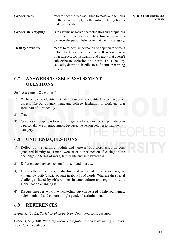| Gender roles               | : refer to specific roles assigned to males and females<br>by the society simply by the virtue of being born a<br>male or female.                                                                                                                                                             |
|----------------------------|-----------------------------------------------------------------------------------------------------------------------------------------------------------------------------------------------------------------------------------------------------------------------------------------------|
| <b>Gender stereotyping</b> | : is to assume negative characteristics and prejudices<br>in a person that you are interacting with, simply<br>because, the person belongs to that identity category.                                                                                                                         |
| <b>Healthy sexuality</b>   | : means to respect, understand and appreciate oneself<br>in totality. It means to respect oneself and one's view<br>of aesthetics, sophistication and beauty that doesn't<br>subscribe to violation and harm. Thus, healthy<br>sexuality doesn't subscribe to self-harm or harming<br>others. |

### **6.7 ANSWERS TO SELF ASSESSMENT QUESTIONS**

### **Self Assessment Questions I**

- 1) We have several identities. Gender is our central identity. But we have other aspects like our country, language, college, institution or work etc. that form part of our identity.
- 2) True
- 3) Gender stereotyping is to assume negative characteristics and prejudices in a person that we interact, simply because, the person belongs to that identity category.

### **6.8 UNIT END QUESTIONS**

- 1) Reflect on the learning module and write a 1000 word essay on your gendered identity (as a man, woman or a trans-person) focusing on the challenges in terms of work, family life and self awareness.
- 2) Differentiate between personality, self and identity.
- 3) Discuss the impact of globalization and gender identity in your region, village/town/city/district or state in about 1000 words. What are the special challenges faced by girls/women in your culture and region; how is globalization changing it?
- 4) Discuss three best ways in which technology can be used to help your family, neighbourhood and culture to fight gender discrimination.

### **6.9 REFERENCES**

Baron, R. (2012). *Social psychology*. New Delhi: Pearson Education.

Giddens, A. (2000). *Runaway world: How globalization is reshaping our lives.* New York : Routledge.

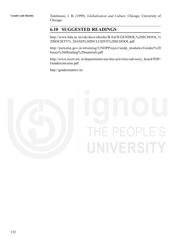**Gender and Identity** Tomlinson, J. B. (1999). *Globalization and Culture.* Chicago: University of Chicago.

### **6.10 SUGGESTED READINGS**

http://www.bdu.ac.in/cde/docs/ebooks/B-Ed/II/GENDER,%20SCHOOL,% 20SOCIETY% 20AND%20INCLUSIVE%20SCHOOL.pdf

http://persmin.gov.in/otraining/UNDPProject/undp\_modules/Gender%20 Issues%20(Reading%20material).pdf

http://www.ncert.nic.in/departments/nie/dse/activities/advisory\_board/PDF/ Genderconcerns.pdf

http://gendermatters.in/



# IE PEOPLE'S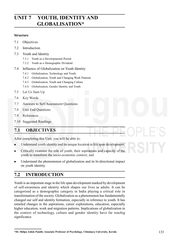# **Youth, Identity and UNIT 7 YOUTH, IDENTITY AND Globalization GLOBALISATION\***

### **Structure**

- 7.1 Objectives
- 7.2 Introduction
- 7.3 Youth and Identity
	- 7.3.1 Youth as a Developmental Period
	- 7.3.2 Youth as a Demographic Dividend
- 7.4 Influence of Globalization on Youth Identity
	- 7.4.1 Globalization, Technology and Youth
	- 7.4.2 Globalization, Youth and Changing Work Patterns
	- 7.4.3 Globalization, Youth and Changing Culture
	- 7.4.4 Globalization, Gender Identity and Youth
- 7.5 Let Us Sum Up
- 7.6 Key Words
- 7.7 Answers to Self Assessment Questions
- 7.8 Unit End Questions
- 7.9 References
- 7.10 Suggested Readings

### **7.1 OBJECTIVES**

After completing this Unit, you will be able to:

- Understand youth identity and its unique location in life span development;
- Critically examine the role of youth, their aspirations and capacity of the  $\bullet$ youth to transform the socio-economic context; and
- Understand the phenomenon of globalization and its bi-directional impact on youth identity.

### **7.2 INTRODUCTION**

Youth is an important stage in the life span development marked by development of self-awareness and identity which shapes our lives as adults. It can be categorised as a demographic category in India playing a critical role in transformation of the society. Globalization as a phenomenon has fundamentally changed our self and identity formation, especially in reference to youth. It has entailed changes in the aspirations, career explorations, education, especially higher education, work and migration patterns. Implications of globalization in the context of technology, culture and gender identity have far reachig significance.

**<sup>\*</sup>Dr. Shilpa Ashok Pandit, Associate Professor of Psychology, Chinmaya University, Kerala**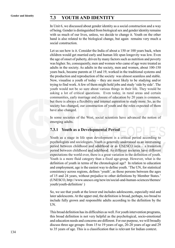### **Gender and Identity 7.3 YOUTH AND IDENTITY**

In Unit 6, we discussed about gender identity as a social construction and a way of being. Gender is distinguished from biological sex and gender identity remains with us much of our lives, unless, we decide to change it. Youth on the other hand is also related to the biological change, but again remains very much a social construction.

Let us see how is it. Consider the India of about a 150 or 100 years back, when children would get married early and human life span longevity was low. Even the age of onset of puberty, driven by many factors such as nutrition and poverty was higher. So, consequently, men and women who came of age were treated as adults in the society. As adults in the society, men and women, about 100-150 years back, became parents at 15 and 19, worked in the traditional systems and the production and reproduction of the society was almost seamless and stable. Now, visualise a youth of today – they are most likely to be studying and/or trying to find work. A few of them might hold jobs and study 'side by side'. The youth would not be so sure about various things in their life. They would be asking a lot of critical questions. Even today, in rural areas and certain communities, early marriage and closure of education by 20 years is common, but there is always a flexibility and internal aspiration to study more. So, as the society has changed, our construction of youth and the roles expected of them have also changed.

In some societies of the West, social scientists have advanced the notion of emerging adults.

### **7.3.1 Youth as a Developmental Period**

Youth as a stage in life span development is a critical period according to psychologists and sociologists. Youth is generally understood as an intervening period between childhood and adulthood or as UNESCO says – a transition period between childhood and adulthood. As different societies have different expectations the world over, there is a great variation in the definition of youth. Youth is a more fluid category than a fixed age-group. However, what is the definition of youth in terms of the chronological age? In relation to education and employment, age is the easiest way to define youth. 'The UN, for statistical consistency across regions, defines 'youth', as those persons between the ages of 15 and 24 years, without prejudice to other definitions by Member States.' (UNESCO, http://www.unesco.org/new/en/social-and-human-sciences/themes/ youth/youth-definition/ )

So, we see that youth at the lower end includes adolescents, especially mid and later adolescents. At the upper end, the definition is broad, perhaps, too broad to include fully grown and responsible adults according to the definition by the UN.

This broad definition has its difficulties as well. For youth intervention programs, this broad definition is not very helpful as the psychological, socio-emotional and education needs and concerns are different. For our purpose, we will broadly discuss three age groups- from 15 to 19 years of age, 20-28 years of age and 29 to 35 years of age. This is a classification that is relevant for Indian context.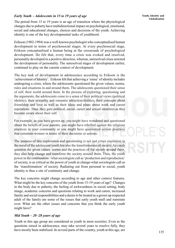### *Early Youth – Adolescents in 15 to 19 years of age*

The period from 15 to 19 years is an age of transition where the physiological changes due to puberty have multidirectional impact on psychological, emotional, social and educational changes, choices and decisions of the youth. Achieving identity is one of the key developmental tasks of youthhood.

Erikson (1902-1994) was a well-known psychologist who conceptualised human development in terms of psychosocial stages. At every psychosocial stage, Erikson conceptualised a human being at the crossroads of psychological development. He felt that, every time a crisis was evoked and resolved, personality developed in a positive direction, whereas, unresolved crises arrested the development of personality. The unresolved stages of development earlier, continued to play on the current context of development.

The key task of development in adolescence according to Erikson is the 'achievement of Identity'. Erikson felt that achieving a 'sense' of identity includes undergoing a crisis, where the adolescents questioned the given values, norms, rules and situations in and around them. The adolescents questioned their sense of self, their world around them. In the process of exploring, questioning and the arguments, the adolescents come to a sense of their political views (political identity), their sexuality and romantic attraction/dislikes, their concepts about friendship and love as well as their ideas and plans about work and career aspirations. Thus, they gain political, social, career and sexual identities as they become aware about their self.

For example, as you have grown up, you might have wondered and questioned about the beliefs of your parents, you might have rebelled against the religious practices in your community or you might have questioned certain practices that constrain women in terms of their decisions or actions.

The purpose of this exploration and questioning is not just crises resolution in the mind of the adolescent/youth but also the transformation of society. As youth question the given values, norms and the practices of the society around them, they also help change and transform the society around them. Thus, the youth power in the continuation –what sociologists call as 'production and reproduction' of society, is as critical as the power of youth in change-what sociologists call as the 'transformation' of society. Radiating out from personal to social, youth identity is thus a site of continuity and change.

The key concerns might change according to age and other context features. What might be the key concerns of the youth from 15-19 years of age? Changes in the body due to puberty, the feeling of awkwardness in social setting, body image, academic concerns and questions relating to work and career, increased family and social responsibilities and a desire to be treated as a grown up respected adult of the family are some of the issues that early youth mull and ruminate over. What are the other issues and concerns that you think the early youth might have?

### *Mid Youth – 20 -28 years of age*

Youth in this age group are considered as youth in most societies. Even as the questions raised in adolescence, may take several years to resolve fully, they have mostly been stabilised. In several parts of the country, youth at this age, are

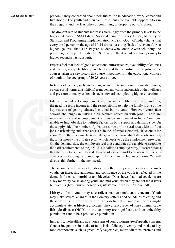Gender and Identity predominantly concerned about their future life in education, work, career and livelihoods. The youth and their families discuss the available opportunities in their regions and the feasibility of continuing or dropping out of studies.

> The dropout rate of students increases alarmingly from the primary levels to the higher education. NSSO data (National Sample Survey Office, Ministry of Statistics and Programme Implementation, MoSPI, Govt. of India) shows that every third person in the age of 10-14 drops out citing 'lack of relevance'. At a higher age level, that is 15-19 years students who continue with schooling, the percentage of drop outs is about 17% . Overall, the dropout rate from primary to higher secondary is substantial.

> Experts feel that lack of good educational infrastructure, availability of courses and faculty, adequate library and books and the opportunities of jobs in the courses taken are key factors that cause impediments in the educational choices of youth in the age group of 20-28 years of age.

> In terms of gender, girls and young women cite increasing domestic chores, stricter social norms that inhibit free movement within and outside of their villages and pressure to marry as key obstacles towards completing higher education.

Education is linked to employment, more so in the public imagination in India; the need to secure income and the responsibility to help the family is one of the key reasons of getting educated as cited by the youth. However, youth face serious challenges in linking their secured education with jobs. There are increasing cases of unemployment and under-employment in India. Youth are unable to find jobs due to multiple factors on both supply and demand side. On the supply side, the number of jobs are almost nil in rural areas. Most of the jobs in urbanising and urban areas are in the informal sector, which accounts for about 7% of the economy. Increasingly, government is unable to be a job provider, thus, it is mostly the private sector, which needs to be the employment provider. On the demand side, the employers feel that candidates are unable to negotiate the skill requirements of the job. This is called as employability. Research states that the fit between supply and demand of skilled workforce is one of the key concerns for tapping the demographic dividend in the Indian economy. We will discuss this further in the next section.

The second key concern of mid-youth is the lifestyle and health of the midyouth. An increasing autonomy and confidence of the youth is reflected in the demands for cars, motorbikes and bicycles; Data shows that road accidents are a key mortality cause among youth and mid youth when they are not the drivers but victims (http://www.unescap.org/sites/default/files/2.12.India\_.pdf ).

Lifestyle of mid-youth may also reflect malnutrition/dietary concerns. Youth may make several changes in their dietary patterns and schedules of eating and these deficits in nutrition due to diets deficient in micro-nutrients might accumulate later as lifestyle disorders. The current burden of non-communicable lifestyle disease (NCD) on the economy are significant and an unhealthy population cannot be a productive population.

In specific, the health and nutrition issues of young women are of specific concern. Gender inequalities in intake of food, lack of dietary diversity and intake of key food components such as green leafy vegetables, micro-vitamins, proteins and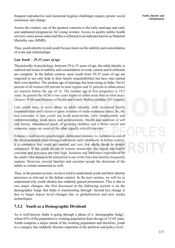frequent reproductive and menstrual hygiene challenges require greater social awareness and change.

Across the country, one of the greatest concerns is the early marriage and early and unplanned pregnancies for young women. Access to quality public health services varies across states and this is reflected in an indicator known as Maternal Mortality rate (MMR).

Thus, youth identity in mid-youth focuses more on the stability and consolidation of work and relationships.

### *Late Youth – 29-35 years of age*

Theoretically in psychology, between 29 to 35 years of age, the adult identity is realized and issues of stability and consolidation in work, careers and livelihoods are complete. In the Indian context, most youth from 29-35 years of age are expected to not only help in their family responsibilities but have also started their own families. The median age of marriage has been rising in India. Yet 61 percent of all women (69 percent in rural regions and 31 percent in urban areas) are married before the age of 16. The median age at first pregnancy is 19.2 years. In general the AEM is two years higher in urban areas than in rural areas. (Source: WHO and Ministry of Health and Family Welfare in India- 2011 report.)

Late youth thus, is more about an adult identity, with increased family responsibilities and a desire to grow in terms of socio-economic status. So, the key concerns of late youth are work aspirations, jobs, employment and entrepreneurship, work stress and achievements. Health and nutrition of self and family, educational needs of growing children and a better social and economic status are some of the other equally critical concerns.

Erikson, a well-known psychologist, delineated intimacy vs. isolation as one of the developmental crises during youth hood /early adulthood. In Indian context, it is normative that youth get married and very few adults decide to remain unmarried. If the youth decide to remain unmarried, the social and family concerns and pressures are very high. Isolation and loneliness experienced by the adults who choose to be unmarried is one of the fears that families frequently express. However, several families and societies accept the decisions of the adults to remain unmarried as well.

Thus, in the present section, we have tried to understand youth and their identity processes as relevant to the Indian context. In the next section, we will try to understand why youth identity has suddenly gained prominence. This is due to two major changes- the first discussed in the following section is on the demographic bulge that India is transitioning through. Second key change is due to larger macro level changes due to globalisation and new media technologies.

### **7.3.2 Youth as a Demographic Dividend**

As is well-known, India is going through a phase of a 'demographic bulge', where 65% of the population is working population from the age of 15-65 years. Youth comprise a major chunk of the working population and therefore, youth as a category has suddenly become important at the political and policy level.

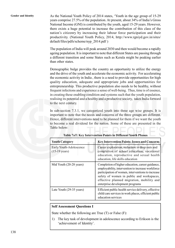Gender and Identity **As the National Youth Policy of 2014 states**, 'Youth in the age group of 15-29 years comprise 27.5% of the population. At present, about 34% of India's Gross National Income (GNI) is contributed by the youth, aged 15-29 years. However, there exists a huge potential to increase the contribution of this class of the nation's citizenry by increasing their labour force participation and their productivity. (National Youth Policy, 2014, http://www.rgniyd.gov.in/sites/ default/files/pdfs/scheme/nyp\_2014.pdf )

> The population of India will peak around 2030 and then would become a rapidly ageing population. It is important to note that different States are passing through a different transition and some States such as Kerala might be peaking earlier than other states.

> Demographic bulge provides the country an opportunity to utilize the energy and the drive of the youth and accelerate the economic activity. For accelerating the economic activity in India , there is a need to provide opportunities for high quality education, adequate and appropriate jobs and opportunities for entrepreneurship. This productive population also needs to be healthy, without frequent infections and experience a sense of well-being. Thus, time is of essence, in creating these enabling condition and systems such that the youth population, realising its potential and a healthy and a productive society, takes India forward to the next century.

> In sub-section 7.3.1, we categorized youth into three age wise groups. It is important to note that the needs and concerns of the three groups are different. Hence, different interventions need to be planned for them if we want the youth to become a real dividend for the nation. Some of these are presented in the Table below:

| <b>Youth Category</b>                              | <b>Key Intervention Points-Issues and Concerns</b>                                                                                                                                                                                                                                      |
|----------------------------------------------------|-----------------------------------------------------------------------------------------------------------------------------------------------------------------------------------------------------------------------------------------------------------------------------------------|
| Early Youth-Adolescence<br>$(15-19 \text{ years})$ | Career exploration, reduction in drop outs and<br>completion of school education, vocational<br>education, reproductive and sexual health<br>education, life skills education                                                                                                           |
| Mid Youth (20-28 years)                            | Completion of higher education, career guidance,<br>employability, intervention to increase workforce<br>participation of women, interventions to increase<br>safety of women in public and workspaces,<br>effective planned migration, mobility and<br>enterprise development programs |
| Late Youth (29-35 years)                           | Efficient public health service delivery, effective<br>child care services in work places, efficient public<br>education services                                                                                                                                                       |

**Table 7aT: Key Intervention Points in Different Youth Phases**

### **Self Assessment Questions I**

State whether the following are True (T) or False (F):

1) The key task of development in adolescence according to Erikson is the 'achievement of Identity'.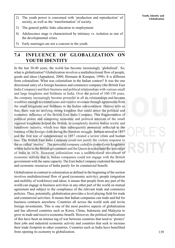- 2) The youth power is concerned with 'production and reproduction' of **Clobalization** society, as well as the 'transformation' of society.
- 3) The general public links education to employment.
- 4) Adolescence stage is characterized by intimacy vs. isolation as one of the developmental crises.
- 5) Early marriages are not a concern in the youth.

### **7.4 INFLUENCE OF GLOBALIZATION ON YOUTH IDENTITY**

In the last 30-40 years, the world has become increasingly 'globalised'. So, what is globalization? Globalization involves a multidirectional flow of people, goods and ideas (Appadurai, 2000; Hermans & Kempen, 1998). It is different from colonialism. What was colonialism in the Indian context? It was the one directional entry of a foreign business and commerce company (the British East India Company) and their business and political relationships with various small and large kingdoms and fiefdoms in India. Over the period of 100-150 years, the company increasingly became powerful in all its relationships and became wealthier enough to extend loans and receive revenues through agreements from the small kingdoms and fiefdoms in the Indian sub-continent. History tells us that, there was no unifying strong kingdom that could arrest the political and economic influence of the British East India Company. This fragmentation of political power and competing economic and political interests of the small regional kingdoms helped the British, to completely destroy Indian textile and handloom industry, which was then subsequently protested/ reflected in the burning of the foreign cloth during the freedom struggle. Indians united in 1857 and the first war of independence in 1857 created a severe crisis and human loss. The British East India Company could not justify the violent response to the so called 'mutiny'. The powerful company ceded its control over kingdoms within India to the British government and the Queen was declared the sovereign of India in 1876. However, colonialism was a unidirectional movement of economic activity that is, Indian companies could not engage with the British government with the same capacity. The East India Company exploited the natural and economic resources of India purely for its commercial benefit.

Globalization in contrast to colonization as defined in the beginning of the section involves multidirectional flow of good (economic activity), people (migration and mobility of workforce) and ideas; it means that people from any part of the world can engage in business activities in any other part of the world on mutual agreement and subject to the compliance of the relevant trade and commerce policies. Thus, potentially, globalization provides a level playing field for trade and commercial activities. It means that Indian companies can trade and bid for business contracts anywhere. Countries all across the world seek and invite foreign investments. This is one of the most positive aspects of globalization and has allowed countries such as Korea, China, Indonesia and Malaysia to grow in trade and receive economic benefit. However, the political implications of this have been an intense tug of war between countries that need to 'protect' their jobs and industrial economic activity and countries that seek to increase their trade footprint in other countries. Countries such as India have benefitted from opening its economy to globalization.

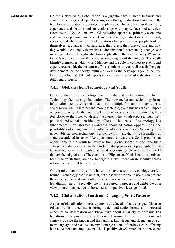Gender and Identity **On the surface of it, globalization is a gigantic shift in trade, business and** economic activity, a deeper look suggests that globalization fundamentally transforms the relationship between the places we inhabit, our cultural practices, experiences and identities and our relationships with people, places and activities (Tomlinson, 1999). At one level, Globalization appears as primarily economic and business phenomenon and at another level, globalization is a cultural, sociological phenomenon. Globalization changes the way people look at themselves, it changes their language, their dress, their diet/cuisine and how they would like to enjoy themselves. Globalization fundamentally changes our meaning making. Thus, globalization deeply affects the youth identity. We move towards world culture or the world as a melting pot of the cultures. The youth identify themselves with a world identity and are able to connect to events and experiences outside their countries. This is both positive as well as a challenging development for the society, culture as well as the developing youth identity. Let us now look at different aspects of youth identity and globalization in the following discussion.

### **7.4.1 Globalization, Technology and Youth**

On a positive note, technology driven media and globalization are twins. Technology facilitates globalization. The new media and technology bring information about events and situations in multiple formats - through videos, social media, online internet and mobile technology and this has critical impact on youth identity. As the youth look at these experiences in multimedia, they feel closer to the other youth and the causes other youth espouse, thus, their political and social identities are affected. The access of technology has fundamentally transformed awareness about education opportunities, the possibilities of change and the multitude of careers available. Secondly, it is undeniable that new technology is driven by profit and that is true regardless of some exceptional instances like open source software etc. So, it provides an opportunity to the youth to leverage their global identities and take their entrepreneurship ideas across the world. It also provides an opportunity for the talented workforce to be mobile and find opportunities elsewhere in the world through their digital skills. The examples of Flipkart and Naukri.com are pertinent here. The youth thus, are able to forge a global, more aware identity across national and cultural boundaries.

On the other hand, the youth who do not have access to technology are left behind. Technology itself is neutral, but those who are able to use it, can present their perspective and many other perspectives as compared to those who are less digitally savvy. Secondly, the time required to process and deliberate on a view point or perspective is shortened, so impulsive views get fixed.

### **7.4.2 Globalization, Youth and Changing Work Patterns**

As part of globalization process, patterns of education have changed. Distance Education, Online education through video and audio formats and increased exposure to information and knowledge about a variety of domains has transformed the possibilities of life-long learning. Exposure to regions and contexts outside the known and the familiar, knowledge and fluency in one or more languages and readiness to travel emerge as some of the key factors affecting both education and employment. This is positive development in the sense that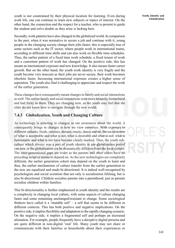youth is not constrained by their physical location for learning. Even during work life, one can continue to learn new subjects or topics of interest. On the other hand, the connection and the respect for a teacher, who is present to guide the student and solve doubts as they arise is lacking here.

Secondly, work patterns have also changed in the globalized world. In comparison to the past, when it was normative to secure a job and continue with it, young people in the changing society change their jobs faster; this is especially true of some sectors such as the IT sector, where people work in international teams, according to different time shifts and can also work on flexible time schedules. Thus, the earlier pattern of a fixed time work schedule, a fixed tenure of work and a consistent pattern of work has changed. On the positive side, this has meant an international exposure and new knowledge. It also means faster career growth. But on the other hand, the youth work identity is very fragile and the youth become very insecure as their jobs are never secure, their work becomes obsolete faster. Increasing international exposure creates a higher sense of aspiration. The youth also find it challenging to appreciate and respect the work of the earlier generation.

These changes have consequently meant changes in family and social interactions as well. The earlier family and social interactions were more leisurely, hierarchical and had fixity in them. They are changing now, as the youth may feel that the elder do not know how to navigate through the new world.

### **7.4.3 Globalization, Youth and Changing Culture**

As technology is ushering in changes in our awareness about the world, it consequently brings in changes in how we view ourselves. With exposure to different cultures, foods, cuisines, dresses, music, dance and art, the social norms of what is acceptable and what is not; what is desirable and what is not; what is fashionable and what is not have become clearly marked. Thus, the youth subculture which always was a part of youth identity in pre-globalisation period can now in the globalisation era be dramatically different from the local culture. The inter-generational gaps are wider as the parents and other elders have no preceding script or norms to depend on. As the new technologies are completely different, the earlier generation cohort may depend on the youth to learn and thus, the earlier mechanisms of culture transfer from the earlier generation to the new are equalised and made bi-directional. It is indeed well-recognised by psychologists and social scientists that not only is socialisation lifelong, but is also bi-directional. Children socialise parents into a parenthood, just as parents socialise children within families.

This bi-directionality is further emphasised in youth identity and the results are a complexity in changing local culture, with some aspects of culture changing faster and some remaining unchanged/resistant to change. Some sociological thinkers have called it a 'mutable self' – a self that seems to be different in different contexts. This has both positive and negative implications. On the positive side, it implies flexibility and adaptation to the rapidly changing scenario. On the negative side, it implies a fragmented self and perhaps an increased alienation. For example, people frequently have a deceptive digital persona and are quite different in non-digital 'real' life. Many youth may not share or communicate with their families or households about their experiences or

**Youth, Identity and Globalization**

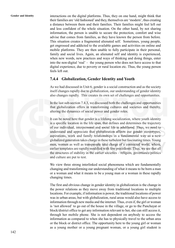**Gender and Identity** interactions on the digital platforms. Thus, they on one hand, might think that their families are 'old fashioned' and they, themselves are 'modern', thus creating a distance between them and their families. Their families might feel left out and less confident of the whole situation. On the other hand, by not sharing information, the person is unable to secure the protection, comfort and wise advise that comes from families, as they have known the person from before. This situation creates a fragmented alienated self. Sometimes, young people, get engrossed and addicted to the available games and activities on online and mobile platforms. They are then unable to fully participate in their personal, family and social lives. Again, an alienated self and identity is experienced, when new words, new practices and ways of thinking and doing things, enter into the non-digital 'real' – the young person who does not have access to that digital experience, due to poverty or rural location etc. Thus, the young person feels left out.

### **7.4.4 Globalization, Gender Identity and Youth**

As we had discussed in Unit 6, gender is a social construction and as the society itself changes rapidly due to globalization, our understanding of gender identity also changes rapidly. This creates its own set of challenges and opportunities.

In the last sub-section 7.4.3, we discussed both the challenges and opportunities that globalization offers in transforming cultures and societies and thereby, altering the dynamics of social power and gender roles.

It can be noted here that gender is a lifelong socialization, where youth identity is a specific location in the life span, that defines and determines the trajectory of our individual, interpersonal and social life in adulthood. Thus, we need to understand and appreciate that globalization affects our gender stereotypes, aspirations, work and family relationships in a fundamental way as a new globalized generation takes charge in these turbulent but fascinating times. Young men, women as well as transpeople take charge of a connected world, where, earlier templates are rapidly modified with few precedents. Thus, we see that all the structures of stability in the earlier societies – religion, governance/politics and culture are put to test.

We view three strong interlinked social phenomena which are fundamentally changing and transforming our understanding of what it means to be born a man or a woman and what it means to be a young man or a woman in these rapidly changing times.

The first and obvious change in gender identity in globalization is the change in the power relations as they move away from traditional locations to multiple locations. For example, if information is power, the traditional locations of power was in urban areas, but with globalization, rural areas would also have access to information through new media and the internet. Thus, even if, the girl or woman is 'not allowed' to go out of the house in the village, or go to the Panchayat or block/district office to get any information relevant to her, she can still access it, through her mobile phone. She is not dependent on anybody to access the information as compared to when she has to physically travel to the urban area or the block or district office. The opportunity here to the young girl or woman as a young mother or a young pregnant woman, or a young girl student is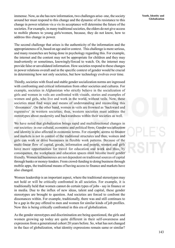immense. Now, as she has new information, two challenges arise- one, the society around her must respond to this change and the dynamic of its resistance to this change in power relation vis a vis its acceptance will determine the future of the societies. For example, in many traditional societies, the elders do not give access to mobile phones to young girls/women, because, they do not know, how to address this change in power.

The second challenge that arises is the authenticity of the information and the appropriateness of it, based on age and/or context. This challenge is more serious, and many researches are being done in psychology regarding this. For example, the internet and the content may not be appropriate for children and they may inadvertently or sometimes, knowingly/forced to watch. Or, the internet may provide false or unvalidated information. How societies respond to these changes in power relations overall and in the specific context of gender would be crucial in determining how not only societies, but how technology evolves over time.

Thirdly, societies with fixed and stable gender socialization norms are ingressed with confronting and critical information from other societies and cultures. For example, societies in Afghanistan who strictly believe in the socialization of girls and women in veils are confronted with visuals, stories and examples of women and girls, who live and work in the world, without veils. Now, these societies must find ways and means of understanding and reconciling this 'dissonance'. On the other hand, women in veils are frowned as 'backward and regressive' in western societies; thus, western societies must address the stereotypes about modernity and backwardness within their societies as well.

We have noted that globalization brings rapid and multidirectional changes in our societies- in our cultural, economic and political lives. Gender socialization and identity is also affected in economic terms. For example, access to finance and markets is not in control of the traditional structures and thus, women and girls can work or drive businesses in flexible work patterns. Because of the multi-linear flow of capital, goods, information and people, women and girls have more opportunities for travel for education and work and thus, by consequence, the workplaces and education spaces must become more gender friendly. Women led businesses are not dependent on traditional sources of capital through banks or money-lenders. From crowd-funding to doing business through mobile apps, the traditional means of having access to finance and markets have also changed.

Women leadership is an important aspect, where the traditional stereotypes may not hold or will be critically confronted in all societies. For example, it is traditionally held that women cannot do certain types of jobs - say in finance or in media. Due to the influx of new ideas, talent and capital, these gender stereotypes are brought to question. And societies are forced to confront the dissonances within. For example, traditionally, there was and still continues to be a gap in the pay offered to men and women for similar kinds of job profiles. Now this is being critically confronted in this era of globalization.

As the gender stereotypes and discrimination are being questioned, the girls and women growing up today are quite different in their self-awareness and expression from a generational cohort 20 years before. So, what has not changed in the face of globalization, what identity expressions remain same or similar?

**Youth, Identity and Globalization**

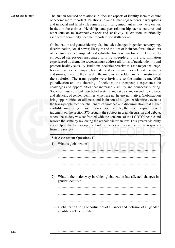**Gender and Identity** The human-focused or relationship- focused aspects of identity seem to endure or become more important. Relationships and human engagements in workplaces and in social and family life remain as critically important as they were earlier. In fact, in these times, friendships and peer relationships across cultures and other contexts, make empathy, respect and sensitivity – all emotions traditionally ascribed to femininity become important life skills for all.

> Globalization and gender identity also includes changes in gender stereotyping, discrimination, social power, lifestyles and the idea of inclusion for all the colors of the rainbow (the transgender). As globalization forces us to confront the deeply embedded stereotypes associated with transpeople and the discrimination experienced by them, the societies must address all forms of gender identity and promote healthy sexuality. Traditional societies perceive this as a major challenge, because even as the transpeople existed and were sometimes celebrated in myths and stories, in reality they lived in the margins and seldom in the mainstream of the societies. The trans-people were invisible to the mainstream. With globalization and the churning of societies, the transpeople experience the challenges and opportunities that increased visibility and connectivity bring. Societies must confront their belief systems and take a stand on ending violence and silencing of gender identities, which are not hetero-normative. Globalization bring opportunities of alliances and inclusion of all gender identities, even as the trans-people face the challenges of violence and discrimination that higher visibility may bring in some cases. For example, the recent supreme court judgment on the section 370 brought the subject in great discussion and debate, where the society was confronted with the concerns of the LGBTQI people and resolve the same by reviewing the archaic victorian law. This greater visibility also helped the trans-people to build alliances and secure sensitive responses from the society.

### **Self Assessment Questions II**

| 1) | What is globalizaton?                                                                                    |
|----|----------------------------------------------------------------------------------------------------------|
|    |                                                                                                          |
|    |                                                                                                          |
|    |                                                                                                          |
| 2) | What is the major way in which globalization has affected changes in<br>gender identity?                 |
|    |                                                                                                          |
|    |                                                                                                          |
|    |                                                                                                          |
| 3) | Globalization bring opportunities of alliances and inclusion of all gender<br>identities – True or False |
|    |                                                                                                          |
|    |                                                                                                          |
|    |                                                                                                          |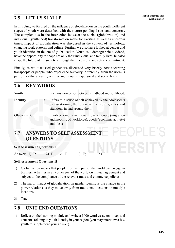# **Youth, Identity and 7.5 LET US SUM UP Globalization**

In this Unit, we focused on the influence of globalization on the youth. Different stages of youth were described with their corresponding issues and concerns. The complexities in the interaction between the social (globalization) and individual (youthhood) transformation make for exciting as well as uncertain times. Impact of globalization was discussed in the context of technology, changing work patterns and culture. Further, we also have looked at gender and youth identities in the era of globalization. Youth as a demographic dividend, have the opportunity to shape not only their individual and family lives, but also shape the future of the societies through their decisions and active commitment.

Finally, as we discussed gender we discussed very briefly how accepting transpeople or people, who experience sexuality 'differently' from the norm is part of healthy sexuality with us and in our interpersonal and social lives.

### **7.6 KEY WORDS**

| Youth                | : is a transition period between childhood and adulthood.                                                                                      |
|----------------------|------------------------------------------------------------------------------------------------------------------------------------------------|
| <b>Identity</b>      | : Refers to a sense of self achieved by the adolescents<br>by questioning the given values, norms, rules and<br>situations in and around them. |
| <b>Globalization</b> | involves a multidirectional flow of people (migration<br>and mobility of workforce), goods (economic activity)<br>and ideas.                   |

### **7.7 ANSWERS TO SELF ASSESSMENT QUESTIONS**

### **Self Assessment Questions I**

Answers: 1) T; 2) T; 3) T; 4) F; 5) F

### **Self Assessment Questions II**

- 1) Globalization means that people from any part of the world can engage in business activities in any other part of the world on mutual agreement and subject to the compliance of the relevant trade and commerce policies.
- 2) The major impact of globalization on gender identity is the change in the power relations as they move away from traditional locations to multiple locations.
- 3) True

### **7.8 UNIT END QUESTIONS**

1) Reflect on the learning module and write a 1000 word essay on issues and concerns relating to youth identity in your region (you may interview a few youth to supplement your answer).